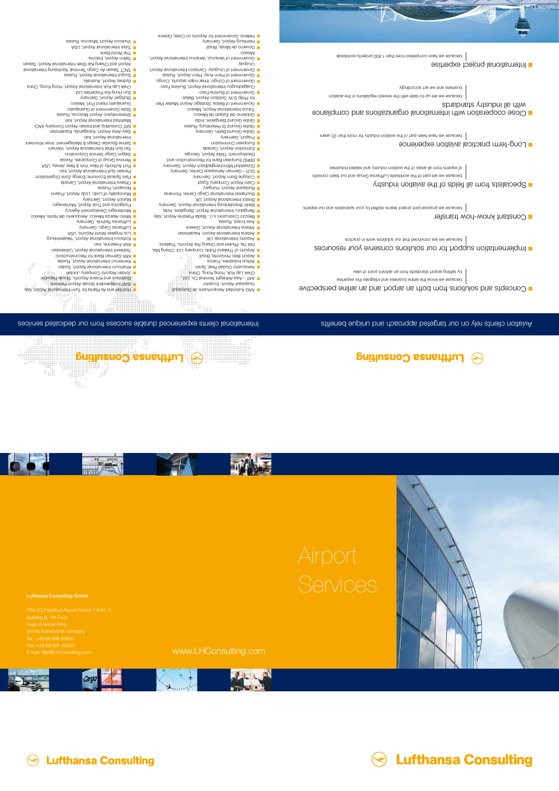

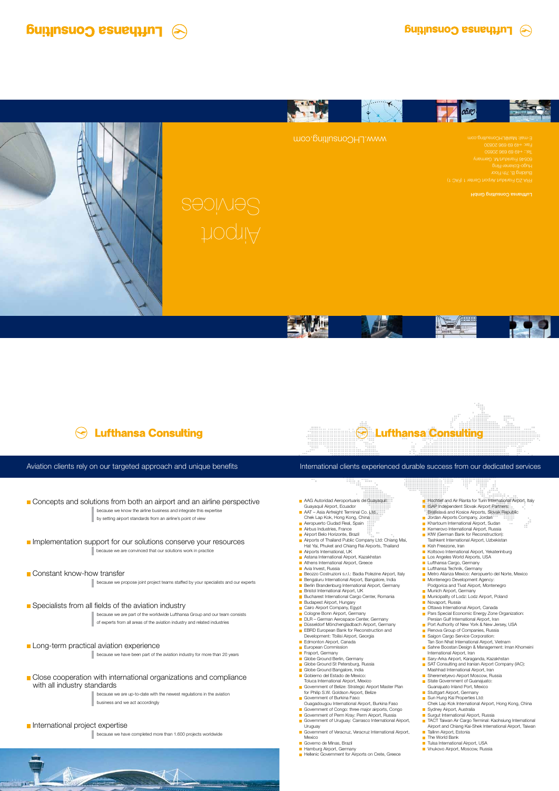- Guayaquil Airport, Ecuador
- **AAT** Asia Airfreight Terminal Co. Ltd. Chek Lap Kok, Hong Kong, China
- **Aeropuerto Ciudad Real, Spain**
- **Airbus Industries, France**
- **Airport Belo Horizonte, Brazil**
- **Airports of Thailand Public Company Ltd: Chiang Mai,** Hat Yai, Phuket and Chiang Rai Airports, Thailand

**PERSON** 

199 m

- **Airports International, UK**
- **Astana International Airport, Kazakhstan**
- Athens International Airport, Greece
- **Avia Invest, Russia**

۰.

- **Beozzo Costruzioni s.r.l.: Badia Polezine Airport, Italy**
- **Bengaluru International Airport, Bangalore, India**
- **Berlin Brandenburg International Airport, Germany**
- **Bristol International Airport, UK**
- **Bucharest International Cargo Center, Romania**
- **Budapest Airport, Hungary**
- Cairo Airport Company, Egypt
- Cologne Bonn Airport, Germany
- **DLR** German Aerospace Center, Germany
- Düsseldorf Mönchengladbach Airport, Germany
- **EBRD European Bank for Reconstruction and** Development: Tbilisi Airport, Georgia
- **Edmonton Airport, Canada**
- **European Commission**
- Fraport, Germany
- Globe Ground Berlin, Germany
- **Globe Ground St Petersburg, Russia**
- **Globe Ground Bangalore, India** Gobierno del Estado de Mexico:
- Toluca International Airport, Mexico
- Government of Belize: Strategic Airport Master Plan for Philip S.W. Goldson Airport, Belize
- Government of Burkina Faso: Ouagadougou International Airport, Burkina Faso
- Government of Congo: three major airports, Congo
- Government of Perm Kray: Perm Airport, Russia
- Government of Uruguay: Carrasco International Airport, Uruguay
- Government of Veracruz, Veracruz International Airport, Mexico
- Governo de Minas, Brazil
- **Hamburg Airport, Germany**
- **Hellenic Government for Airports on Crete, Greece**

#### **Close cooperation with international organizations and compliance** with all industry standards

|                             | nja,<br>.<br>------------                                                |
|-----------------------------|--------------------------------------------------------------------------|
|                             | tanina <sub>man</sub>                                                    |
|                             | <b>E</b> Hochtief and Air Rianta for Turin International Airport, Italy  |
|                             | <b>BEISAP Independent Slovak Airport Partners:</b>                       |
|                             | Bratislava and Kosice Airports, Slovak Republic                          |
| H.                          | Jordan Airports Company, Jordan                                          |
|                             | <b>TIL</b><br>Khartoum International Airport, Sudan<br>m m<br><b>THE</b> |
| $\mathcal{L}_{\mathcal{A}}$ | Kemerovo International Airport, Russia                                   |
| $\Box$                      | KfW (German Bank for Reconstruction):                                    |
|                             | Tashkent International Airport, Uzbekistan                               |
| I.                          | Kish Freezone, Iran                                                      |
| $\mathcal{L}_{\mathcal{A}}$ | Koltsovo International Airport, Yekaterinburg                            |
|                             | Los Angeles World Airports, USA                                          |
|                             | Lufthansa Cargo, Germany                                                 |
|                             | <b>Lufthansa Technik, Germany</b>                                        |
| $\mathcal{L}_{\mathcal{A}}$ | Metro Alianza Mexico: Aeropuerto del Norte, Mexico                       |
| $\mathcal{L}^{\mathcal{A}}$ | Montenegro Development Agency:                                           |
|                             | Podgorica and Tivat Airport, Montenegro                                  |
| H.                          | Munich Airport, Germany                                                  |
| <b>In the </b>              | Municipality of Lodz: Lodz Airport, Poland                               |
| H.                          | Novaport, Russia                                                         |
| ш                           | Ottawa International Airport, Canada                                     |
| $\mathcal{L}_{\mathcal{A}}$ | Pars Special Economic Energy Zone Organization:                          |
|                             | Persian Gulf International Airport, Iran                                 |
| H.                          | Port Authority of New York & New Jersey, USA                             |
| <b>The Co</b>               | Renova Group of Companies, Russia                                        |
| <b>Tale</b>                 | Saigon Cargo Service Corporation:                                        |
|                             | Tan Son Nhat International Airport, Vietnam                              |
| H.                          | Sahne Boostan Design & Management: Iman Khomeini                         |
|                             | International Airport, Iran                                              |
|                             | Sary-Arka Airport, Karaganda, Kazakhstan                                 |
| <b>COL</b>                  | SAT Consulting and Iranian Airport Company (IAC):                        |
|                             | Mashhad International Airport, Iran                                      |
|                             | Sheremetyevo Airport Moscow, Russia                                      |
| <b>COL</b>                  | State Government of Guanajuato:                                          |
|                             | Guanajuato Inland Port, Mexico                                           |
|                             | Stuttgart Airport, Germany                                               |
|                             | Sun Hung Kai Properties Ltd:                                             |
|                             | Chek Lap Kok International Airport, Hong Kong, China                     |
| <b>COL</b>                  | Sydney Airport, Australia                                                |
| <b>The Co</b>               | Surgut International Airport, Russia                                     |
|                             | TACT Taiwan Air Cargo Terminal: Kaohsiung International                  |
|                             | Airport and Chiang Kai-Shek International Airport, Taiwan                |
| $\mathcal{L}^{\mathcal{A}}$ | Tallinn Airport, Estonia                                                 |
|                             | <b>The World Bank</b>                                                    |
|                             | Tulsa International Airport, USA                                         |
|                             | Vnukovo Airport, Moscow, Russia                                          |
|                             |                                                                          |

#### International clients experienced durable success from our dedicated services

because we know the airline business and integrate this expertise by setting airport standards from an airline's point of view

#### Implementation support for our solutions conserve your resources

because we are convinced that our solutions work in practice

#### **Constant know-how transfer**

because we propose joint project teams staffed by your specialists and our experts

#### Specialists from all fields of the aviation industry

because we are part of the worldwide Lufthansa Group and our team consists of experts from all areas of the aviation industry and related industries

#### **Long-term practical aviation experience**

because we have been part of the aviation industry for more than 20 years

because we are up-to-date with the newest regulations in the aviation business and we act accordingly

#### International project expertise

because we have completed more than 1.600 projects worldwide



## **Lufthansa Consulting**



#### Aviation clients rely on our targeted approach and unique benefits

#### Concepts and solutions from both an airport and an airline perspective **AAG Autoridad Aeroportuaris de Guayaquil**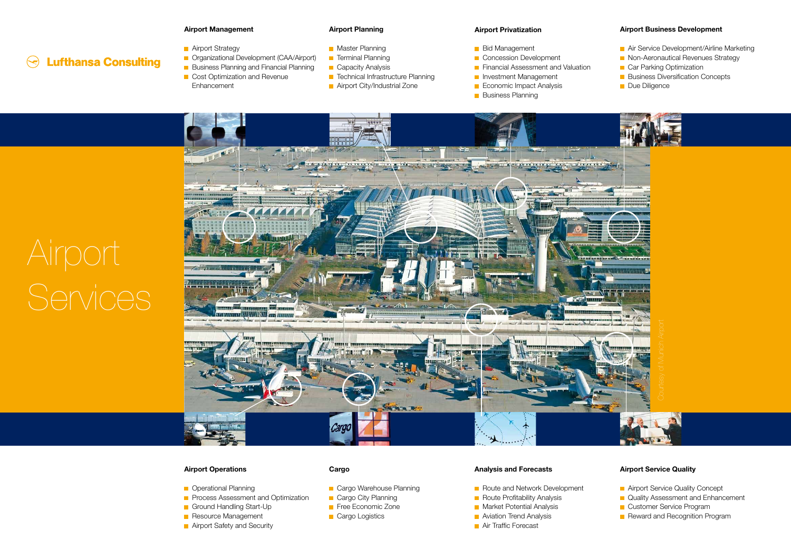# Airport Services

**Lufthansa Consulting** 

 $\left(\rightleftarrow)$ 

#### **Airport Management**

- **Airport Strategy**
- **COrganizational Development (CAA/Airport)**
- **Business Planning and Financial Planning**
- **Cost Optimization and Revenue Enhancement**

#### **Airport Planning**

- **Master Planning**
- **Terminal Planning**
- **Capacity Analysis**
- **T** Technical Infrastructure Planning
- **Airport City/Industrial Zone**

#### **Airport Privatization**

- **Bid Management**
- Concession Development
- **Financial Assessment and Valuation**
- **Investment Management**
- **Economic Impact Analysis**
- **Business Planning**

#### **Airport Business Development**

- **Air Service Development/Airline Marketing**
- Non-Aeronautical Revenues Strategy
- **Car Parking Optimization**
- **Business Diversification Concepts**
- **Due Diligence**

#### **Airport Operations**

- **D** Operational Planning
- **Process Assessment and Optimization**
- Ground Handling Start-Up
- Resource Management
- **Airport Safety and Security**

#### **Cargo**

- **Cargo Warehouse Planning**
- **Cargo City Planning**
- Free Economic Zone
- **Cargo Logistics**

#### **Analysis and Forecasts**

- Route and Network Development
- Route Profitability Analysis
- **Market Potential Analysis**
- **Aviation Trend Analysis**
- **Air Traffic Forecast**

#### **Airport Service Quality**

- **Airport Service Quality Concept**
- **Quality Assessment and Enhancement**
- **Customer Service Program**
-